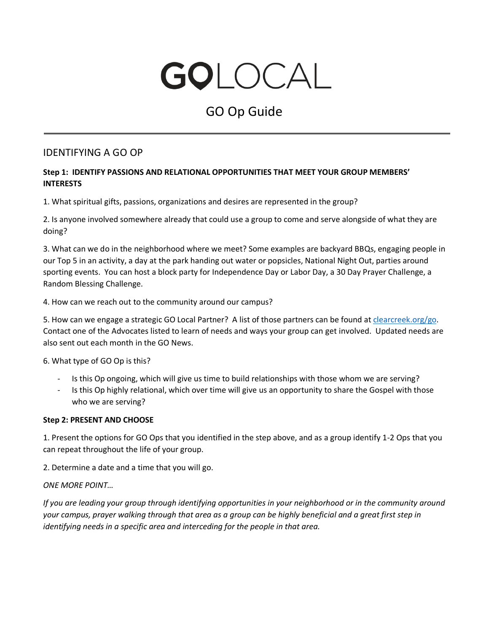# GOLOCAL

# GO Op Guide

## IDENTIFYING A GO OP

#### **Step 1: IDENTIFY PASSIONS AND RELATIONAL OPPORTUNITIES THAT MEET YOUR GROUP MEMBERS' INTERESTS**

1. What spiritual gifts, passions, organizations and desires are represented in the group?

2. Is anyone involved somewhere already that could use a group to come and serve alongside of what they are doing?

3. What can we do in the neighborhood where we meet? Some examples are backyard BBQs, engaging people in our Top 5 in an activity, a day at the park handing out water or popsicles, National Night Out, parties around sporting events. You can host a block party for Independence Day or Labor Day, a 30 Day Prayer Challenge, a Random Blessing Challenge.

4. How can we reach out to the community around our campus?

5. How can we engage a strategic GO Local Partner? A list of those partners can be found a[t clearcreek.org/go.](https://www.clearcreek.org/go-catalyst-resources/) Contact one of the Advocates listed to learn of needs and ways your group can get involved. Updated needs are also sent out each month in the GO News.

6. What type of GO Op is this?

- Is this Op ongoing, which will give us time to build relationships with those whom we are serving?
- Is this Op highly relational, which over time will give us an opportunity to share the Gospel with those who we are serving?

#### **Step 2: PRESENT AND CHOOSE**

1. Present the options for GO Ops that you identified in the step above, and as a group identify 1-2 Ops that you can repeat throughout the life of your group.

2. Determine a date and a time that you will go.

#### *ONE MORE POINT…*

*If you are leading your group through identifying opportunities in your neighborhood or in the community around your campus, prayer walking through that area as a group can be highly beneficial and a great first step in identifying needs in a specific area and interceding for the people in that area.*